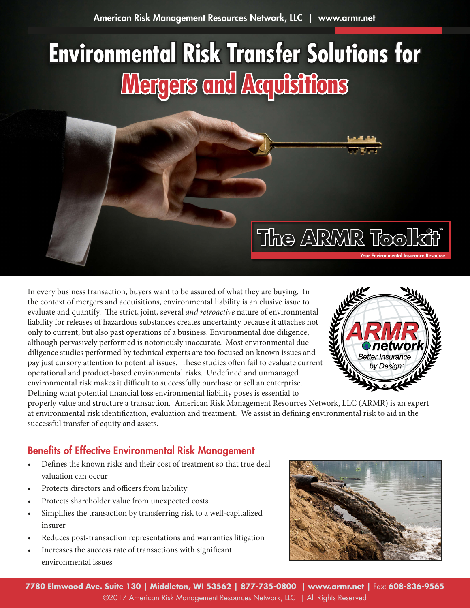# **Environmental Risk Transfer Solutions for Mergers and Acquisitions**



In every business transaction, buyers want to be assured of what they are buying. In the context of mergers and acquisitions, environmental liability is an elusive issue to evaluate and quantify. The strict, joint, several *and retroactive* nature of environmental liability for releases of hazardous substances creates uncertainty because it attaches not only to current, but also past operations of a business. Environmental due diligence, although pervasively performed is notoriously inaccurate. Most environmental due diligence studies performed by technical experts are too focused on known issues and pay just cursory attention to potential issues. These studies often fail to evaluate current operational and product-based environmental risks. Undefined and unmanaged environmental risk makes it difficult to successfully purchase or sell an enterprise. Defining what potential financial loss environmental liability poses is essential to



properly value and structure a transaction. American Risk Management Resources Network, LLC (ARMR) is an expert at environmental risk identification, evaluation and treatment. We assist in defining environmental risk to aid in the successful transfer of equity and assets.

# Benefits of Effective Environmental Risk Management

- Defines the known risks and their cost of treatment so that true deal valuation can occur
- Protects directors and officers from liability
- Protects shareholder value from unexpected costs
- Simplifies the transaction by transferring risk to a well-capitalized insurer
- Reduces post-transaction representations and warranties litigation
- Increases the success rate of transactions with significant environmental issues

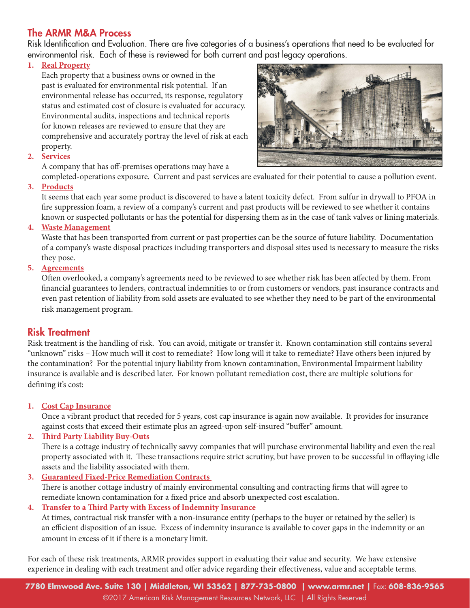# The [ARMR](http://armr.net) M&A Process

Risk Identification and Evaluation. There are five categories of a business's operations that need to be evaluated for environmental risk. Each of these is reviewed for both current and past legacy operations.

## **1. Real Property**

Each property that a business owns or owned in the past is evaluated for environmental risk potential. If an environmental release has occurred, its response, regulatory status and estimated cost of closure is evaluated for accuracy. Environmental audits, inspections and technical reports for known releases are reviewed to ensure that they are comprehensive and accurately portray the level of risk at each property.



### **2. Services**

A company that has off-premises operations may have a

completed-operations exposure. Current and past services are evaluated for their potential to cause a pollution event.

## **3. Products**

It seems that each year some product is discovered to have a latent toxicity defect. From sulfur in drywall to PFOA in fire suppression foam, a review of a company's current and past products will be reviewed to see whether it contains known or suspected pollutants or has the potential for dispersing them as in the case of tank valves or lining materials.

#### **4. Waste Management**

Waste that has been transported from current or past properties can be the source of future liability. Documentation of a company's waste disposal practices including transporters and disposal sites used is necessary to measure the risks they pose.

#### **5. Agreements**

Often overlooked, a company's agreements need to be reviewed to see whether risk has been affected by them. From financial guarantees to lenders, contractual indemnities to or from customers or vendors, past insurance contracts and even past retention of liability from sold assets are evaluated to see whether they need to be part of the environmental risk management program.

## Risk Treatment

Risk treatment is the handling of risk. You can avoid, mitigate or transfer it. Known contamination still contains several "unknown" risks – How much will it cost to remediate? How long will it take to remediate? Have others been injured by the contamination? For the potential injury liability from known contamination, Environmental Impairment liability insurance is available and is described later. For known pollutant remediation cost, there are multiple solutions for defining it's cost:

### **1. Cost Cap Insurance**

Once a vibrant product that receded for 5 years, cost cap insurance is again now available. It provides for insurance against costs that exceed their estimate plus an agreed-upon self-insured "buffer" amount.

### **2. Third Party Liability Buy-Outs**

There is a cottage industry of technically savvy companies that will purchase environmental liability and even the real property associated with it. These transactions require strict scrutiny, but have proven to be successful in offlaying idle assets and the liability associated with them.

**3. Guaranteed Fixed-Price Remediation Contracts**  There is another cottage industry of mainly environmental consulting and contracting firms that will agree to remediate known contamination for a fixed price and absorb unexpected cost escalation.

## **4. Transfer to a Third Party with Excess of Indemnity Insurance**

At times, contractual risk transfer with a non-insurance entity (perhaps to the buyer or retained by the seller) is an efficient disposition of an issue. Excess of indemnity insurance is available to cover gaps in the indemnity or an amount in excess of it if there is a monetary limit.

For each of these risk treatments, [ARMR](http://armr.net) provides support in evaluating their value and security. We have extensive experience in dealing with each treatment and offer advice regarding their effectiveness, value and acceptable terms.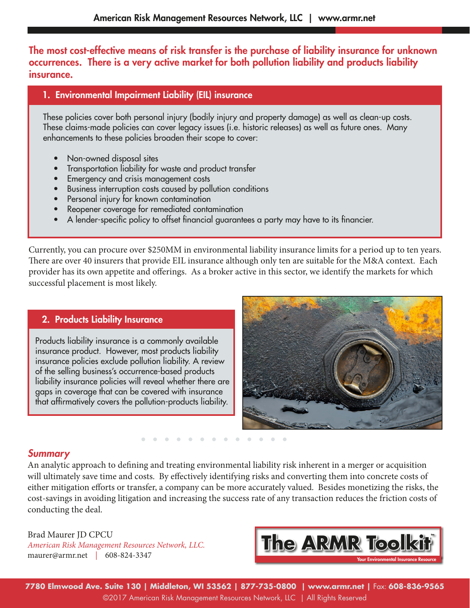The most cost-effective means of risk transfer is the purchase of liability insurance for unknown occurrences. There is a very active market for both pollution liability and products liability insurance.

## 1. Environmental Impairment Liability (EIL) insurance

These policies cover both personal injury (bodily injury and property damage) as well as clean-up costs. These claims-made policies can cover legacy issues (i.e. historic releases) as well as future ones. Many enhancements to these policies broaden their scope to cover:

- Non-owned disposal sites
- Transportation liability for waste and product transfer
- Emergency and crisis management costs
- Business interruption costs caused by pollution conditions
- Personal injury for known contamination
- Reopener coverage for remediated contamination
- A lender-specific policy to offset financial guarantees a party may have to its financier.

Currently, you can procure over \$250MM in environmental liability insurance limits for a period up to ten years. There are over 40 insurers that provide EIL insurance although only ten are suitable for the M&A context. Each provider has its own appetite and offerings. As a broker active in this sector, we identify the markets for which successful placement is most likely.

# 2. Products Liability Insurance

Products liability insurance is a commonly available insurance product. However, most products liability insurance policies exclude pollution liability. A review of the selling business's occurrence-based products liability insurance policies will reveal whether there are gaps in coverage that can be covered with insurance that affirmatively covers the pollution-products liability.



# *Summary*

An analytic approach to defining and treating environmental liability risk inherent in a merger or acquisition will ultimately save time and costs. By effectively identifying risks and converting them into concrete costs of either mitigation efforts or transfer, a company can be more accurately valued. Besides monetizing the risks, the cost-savings in avoiding litigation and increasing the success rate of any transaction reduces the friction costs of conducting the deal.

[Brad Maurer JD CPCU](mailto: maurer@armr.net) *[American Risk Management Resources Network, LLC.](http://armr.net)* [maurer@armr.net](mailto: maurer@armr.net) | 608-824-3347